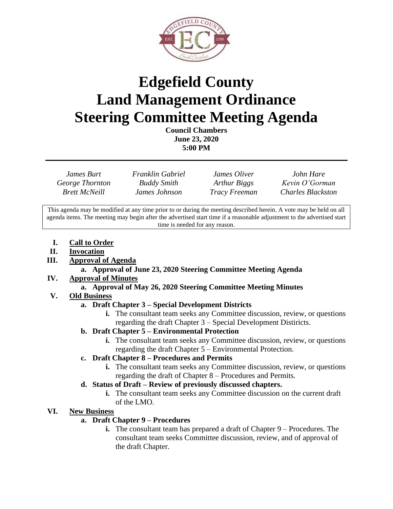

# **Edgefield County Land Management Ordinance Steering Committee Meeting Agenda**

**Council Chambers June 23, 2020 5:00 PM**

*James Burt Franklin Gabriel James Oliver John Hare George Thornton Buddy Smith Arthur Biggs Kevin O'Gorman Brett McNeill James Johnson Tracy Freeman Charles Blackston*

This agenda may be modified at any time prior to or during the meeting described herein. A vote may be held on all agenda items. The meeting may begin after the advertised start time if a reasonable adjustment to the advertised start time is needed for any reason.

- **I. Call to Order**
- **II. Invocation**
- **III. Approval of Agenda**

#### **a. Approval of June 23, 2020 Steering Committee Meeting Agenda**

**IV. Approval of Minutes**

# **a. Approval of May 26, 2020 Steering Committee Meeting Minutes**

# **V. Old Business**

# **a. Draft Chapter 3 – Special Development Districts**

**i.** The consultant team seeks any Committee discussion, review, or questions regarding the draft Chapter 3 – Special Development Distiricts.

# **b. Draft Chapter 5 – Environmental Protection**

**i.** The consultant team seeks any Committee discussion, review, or questions regarding the draft Chapter 5 – Environmental Protection.

# **c. Draft Chapter 8 – Procedures and Permits**

**i.** The consultant team seeks any Committee discussion, review, or questions regarding the draft of Chapter 8 – Procedures and Permits.

# **d. Status of Draft – Review of previously discussed chapters.**

**i.** The consultant team seeks any Committee discussion on the current draft of the LMO.

# **VI. New Business**

# **a. Draft Chapter 9 – Procedures**

**i.** The consultant team has prepared a draft of Chapter 9 – Procedures. The consultant team seeks Committee discussion, review, and of approval of the draft Chapter.